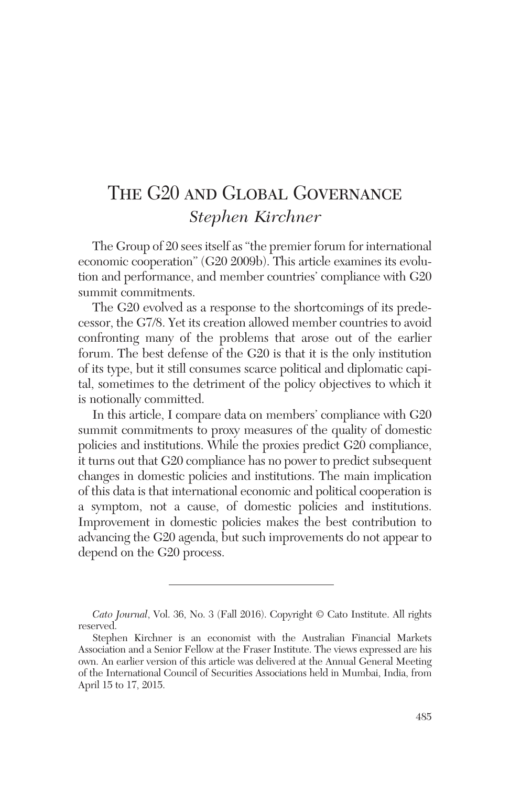# The G20 and Global Governance *Stephen Kirchner*

The Group of 20 sees itself as "the premier forum for international economic cooperation" (G20 2009b). This article examines its evolution and performance, and member countries' compliance with G20 summit commitments.

The G20 evolved as a response to the shortcomings of its predecessor, the G7/8. Yet its creation allowed member countries to avoid confronting many of the problems that arose out of the earlier forum. The best defense of the G20 is that it is the only institution of its type, but it still consumes scarce political and diplomatic capital, sometimes to the detriment of the policy objectives to which it is notionally committed.

In this article, I compare data on members' compliance with G20 summit commitments to proxy measures of the quality of domestic policies and institutions. While the proxies predict G20 compliance, it turns out that G20 compliance has no power to predict subsequent changes in domestic policies and institutions. The main implication of this data is that international economic and political cooperation is a symptom, not a cause, of domestic policies and institutions. Improvement in domestic policies makes the best contribution to advancing the G20 agenda, but such improvements do not appear to depend on the G20 process.

*Cato Journal*, Vol. 36, No. 3 (Fall 2016). Copyright © Cato Institute. All rights reserved.

Stephen Kirchner is an economist with the Australian Financial Markets Association and a Senior Fellow at the Fraser Institute. The views expressed are his own. An earlier version of this article was delivered at the Annual General Meeting of the International Council of Securities Associations held in Mumbai, India, from April 15 to 17, 2015.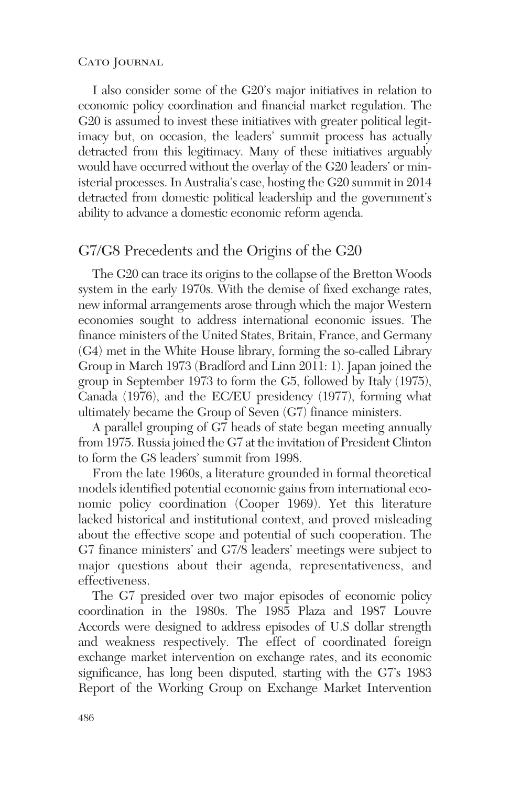I also consider some of the G20's major initiatives in relation to economic policy coordination and financial market regulation. The G20 is assumed to invest these initiatives with greater political legitimacy but, on occasion, the leaders' summit process has actually detracted from this legitimacy. Many of these initiatives arguably would have occurred without the overlay of the G20 leaders' or ministerial processes. In Australia's case, hosting the G20 summit in 2014 detracted from domestic political leadership and the government's ability to advance a domestic economic reform agenda.

## G7/G8 Precedents and the Origins of the G20

The G20 can trace its origins to the collapse of the Bretton Woods system in the early 1970s. With the demise of fixed exchange rates, new informal arrangements arose through which the major Western economies sought to address international economic issues. The finance ministers of the United States, Britain, France, and Germany (G4) met in the White House library, forming the so-called Library Group in March 1973 (Bradford and Linn 2011: 1). Japan joined the group in September 1973 to form the G5, followed by Italy (1975), Canada (1976), and the EC/EU presidency (1977), forming what ultimately became the Group of Seven (G7) finance ministers.

A parallel grouping of G7 heads of state began meeting annually from 1975. Russia joined the G7 at the invitation of President Clinton to form the G8 leaders' summit from 1998.

From the late 1960s, a literature grounded in formal theoretical models identified potential economic gains from international economic policy coordination (Cooper 1969). Yet this literature lacked historical and institutional context, and proved misleading about the effective scope and potential of such cooperation. The G7 finance ministers' and G7/8 leaders' meetings were subject to major questions about their agenda, representativeness, and effectiveness.

The G7 presided over two major episodes of economic policy coordination in the 1980s. The 1985 Plaza and 1987 Louvre Accords were designed to address episodes of U.S dollar strength and weakness respectively. The effect of coordinated foreign exchange market intervention on exchange rates, and its economic significance, has long been disputed, starting with the G7's 1983 Report of the Working Group on Exchange Market Intervention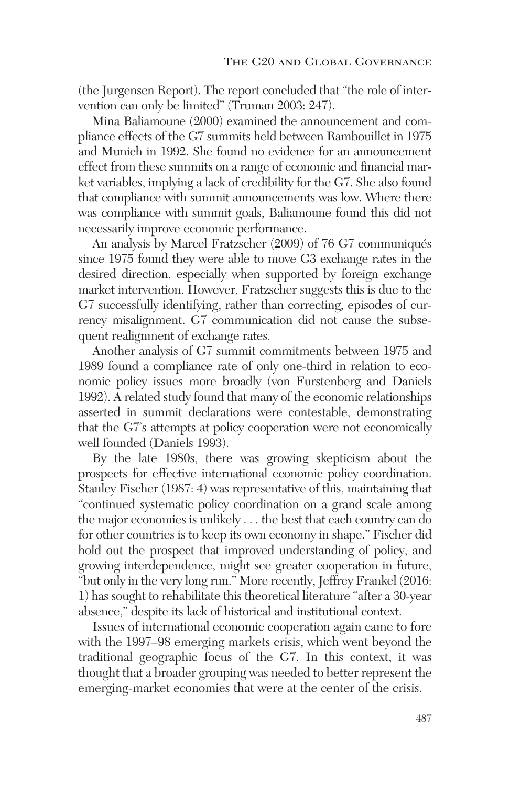(the Jurgensen Report). The report concluded that "the role of intervention can only be limited" (Truman 2003: 247).

Mina Baliamoune (2000) examined the announcement and compliance effects of the G7 summits held between Rambouillet in 1975 and Munich in 1992. She found no evidence for an announcement effect from these summits on a range of economic and financial market variables, implying a lack of credibility for the G7. She also found that compliance with summit announcements was low. Where there was compliance with summit goals, Baliamoune found this did not necessarily improve economic performance.

An analysis by Marcel Fratzscher (2009) of 76 G7 communiqués since 1975 found they were able to move G3 exchange rates in the desired direction, especially when supported by foreign exchange market intervention. However, Fratzscher suggests this is due to the G7 successfully identifying, rather than correcting, episodes of currency misalignment. G7 communication did not cause the subsequent realignment of exchange rates.

Another analysis of G7 summit commitments between 1975 and 1989 found a compliance rate of only one-third in relation to economic policy issues more broadly (von Furstenberg and Daniels 1992). A related study found that many of the economic relationships asserted in summit declarations were contestable, demonstrating that the G7's attempts at policy cooperation were not economically well founded (Daniels 1993).

By the late 1980s, there was growing skepticism about the prospects for effective international economic policy coordination. Stanley Fischer (1987: 4) was representative of this, maintaining that "continued systematic policy coordination on a grand scale among the major economies is unlikely . . . the best that each country can do for other countries is to keep its own economy in shape." Fischer did hold out the prospect that improved understanding of policy, and growing interdependence, might see greater cooperation in future, "but only in the very long run." More recently, Jeffrey Frankel (2016: 1) has sought to rehabilitate this theoretical literature "after a 30-year absence," despite its lack of historical and institutional context.

Issues of international economic cooperation again came to fore with the 1997–98 emerging markets crisis, which went beyond the traditional geographic focus of the G7. In this context, it was thought that a broader grouping was needed to better represent the emerging-market economies that were at the center of the crisis.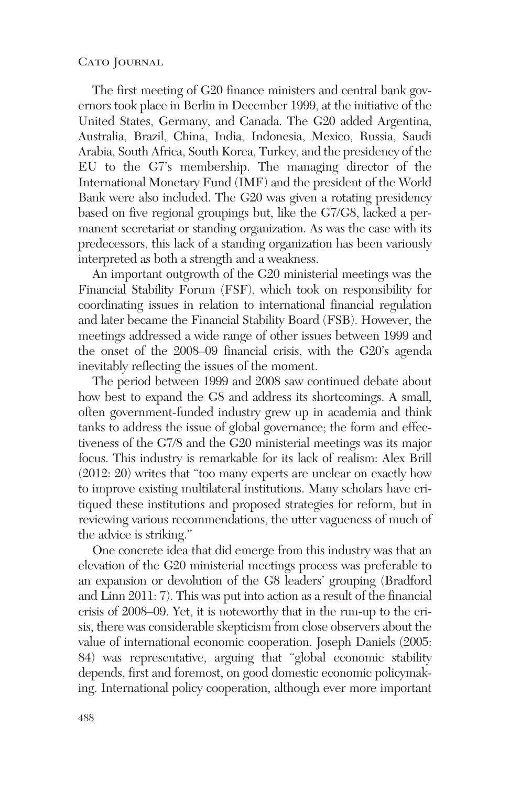The first meeting of G20 finance ministers and central bank governors took place in Berlin in December 1999, at the initiative of the United States, Germany, and Canada. The G20 added Argentina, Australia, Brazil, China, India, Indonesia, Mexico, Russia, Saudi Arabia, South Africa, South Korea, Turkey, and the presidency of the EU to the G7's membership. The managing director of the International Monetary Fund (IMF) and the president of the World Bank were also included. The G20 was given a rotating presidency based on five regional groupings but, like the G7/G8, lacked a permanent secretariat or standing organization. As was the case with its predecessors, this lack of a standing organization has been variously interpreted as both a strength and a weakness.

An important outgrowth of the G20 ministerial meetings was the Financial Stability Forum (FSF), which took on responsibility for coordinating issues in relation to international financial regulation and later became the Financial Stability Board (FSB). However, the meetings addressed a wide range of other issues between 1999 and the onset of the 2008–09 financial crisis, with the G20's agenda inevitably reflecting the issues of the moment.

The period between 1999 and 2008 saw continued debate about how best to expand the G8 and address its shortcomings. A small, often government-funded industry grew up in academia and think tanks to address the issue of global governance; the form and effectiveness of the G7/8 and the G20 ministerial meetings was its major focus. This industry is remarkable for its lack of realism: Alex Brill (2012: 20) writes that "too many experts are unclear on exactly how to improve existing multilateral institutions. Many scholars have critiqued these institutions and proposed strategies for reform, but in reviewing various recommendations, the utter vagueness of much of the advice is striking."

One concrete idea that did emerge from this industry was that an elevation of the G20 ministerial meetings process was preferable to an expansion or devolution of the G8 leaders' grouping (Bradford and Linn 2011: 7). This was put into action as a result of the financial crisis of 2008–09. Yet, it is noteworthy that in the run-up to the crisis, there was considerable skepticism from close observers about the value of international economic cooperation. Joseph Daniels (2005: 84) was representative, arguing that "global economic stability depends, first and foremost, on good domestic economic policymaking. International policy cooperation, although ever more important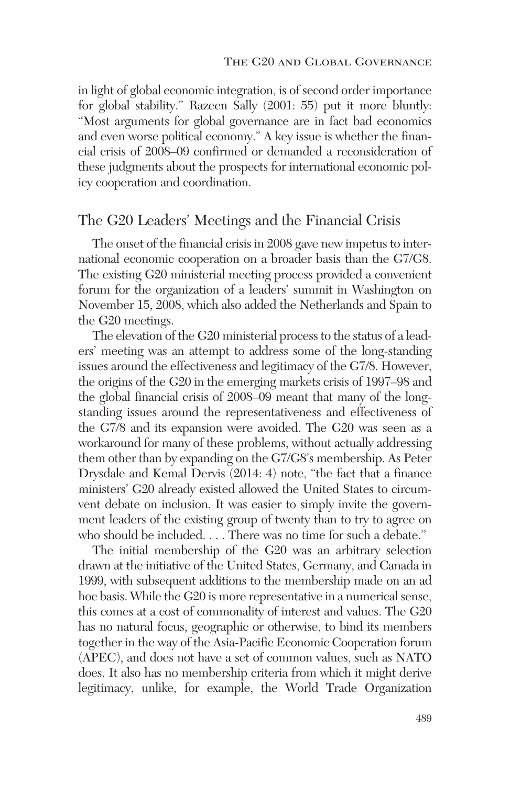in light of global economic integration, is of second order importance for global stability." Razeen Sally (2001: 55) put it more bluntly: "Most arguments for global governance are in fact bad economics and even worse political economy." A key issue is whether the financial crisis of 2008–09 confirmed or demanded a reconsideration of these judgments about the prospects for international economic policy cooperation and coordination.

## The G20 Leaders' Meetings and the Financial Crisis

The onset of the financial crisis in 2008 gave new impetus to international economic cooperation on a broader basis than the G7/G8. The existing G20 ministerial meeting process provided a convenient forum for the organization of a leaders' summit in Washington on November 15, 2008, which also added the Netherlands and Spain to the G20 meetings.

The elevation of the G20 ministerial process to the status of a leaders' meeting was an attempt to address some of the long-standing issues around the effectiveness and legitimacy of the G7/8. However, the origins of the G20 in the emerging markets crisis of 1997–98 and the global financial crisis of 2008–09 meant that many of the longstanding issues around the representativeness and effectiveness of the G7/8 and its expansion were avoided. The G20 was seen as a workaround for many of these problems, without actually addressing them other than by expanding on the G7/G8's membership. As Peter Drysdale and Kemal Dervis (2014: 4) note, "the fact that a finance ministers' G20 already existed allowed the United States to circumvent debate on inclusion. It was easier to simply invite the government leaders of the existing group of twenty than to try to agree on who should be included. . . . There was no time for such a debate."

The initial membership of the G20 was an arbitrary selection drawn at the initiative of the United States, Germany, and Canada in 1999, with subsequent additions to the membership made on an ad hoc basis. While the G20 is more representative in a numerical sense, this comes at a cost of commonality of interest and values. The G20 has no natural focus, geographic or otherwise, to bind its members together in the way of the Asia-Pacific Economic Cooperation forum (APEC), and does not have a set of common values, such as NATO does. It also has no membership criteria from which it might derive legitimacy, unlike, for example, the World Trade Organization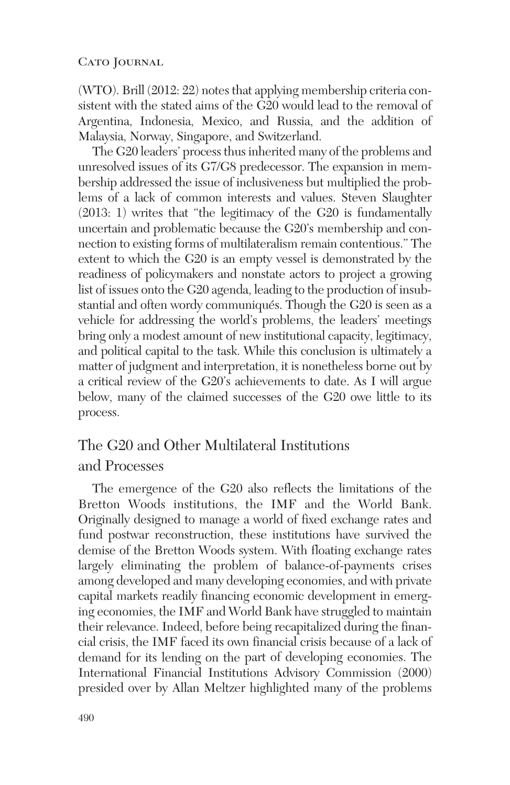(WTO). Brill (2012: 22) notes that applying membership criteria consistent with the stated aims of the G20 would lead to the removal of Argentina, Indonesia, Mexico, and Russia, and the addition of Malaysia, Norway, Singapore, and Switzerland.

The G20 leaders' process thus inherited many of the problems and unresolved issues of its G7/G8 predecessor. The expansion in membership addressed the issue of inclusiveness but multiplied the problems of a lack of common interests and values. Steven Slaughter (2013: 1) writes that "the legitimacy of the G20 is fundamentally uncertain and problematic because the G20's membership and connection to existing forms of multilateralism remain contentious." The extent to which the G20 is an empty vessel is demonstrated by the readiness of policymakers and nonstate actors to project a growing list of issues onto the G20 agenda, leading to the production of insubstantial and often wordy communiqués. Though the G20 is seen as a vehicle for addressing the world's problems, the leaders' meetings bring only a modest amount of new institutional capacity, legitimacy, and political capital to the task. While this conclusion is ultimately a matter of judgment and interpretation, it is nonetheless borne out by a critical review of the G20's achievements to date. As I will argue below, many of the claimed successes of the G20 owe little to its process.

## The G20 and Other Multilateral Institutions and Processes

The emergence of the G20 also reflects the limitations of the Bretton Woods institutions, the IMF and the World Bank. Originally designed to manage a world of fixed exchange rates and fund postwar reconstruction, these institutions have survived the demise of the Bretton Woods system. With floating exchange rates largely eliminating the problem of balance-of-payments crises among developed and many developing economies, and with private capital markets readily financing economic development in emerging economies, the IMF and World Bank have struggled to maintain their relevance. Indeed, before being recapitalized during the financial crisis, the IMF faced its own financial crisis because of a lack of demand for its lending on the part of developing economies. The International Financial Institutions Advisory Commission (2000) presided over by Allan Meltzer highlighted many of the problems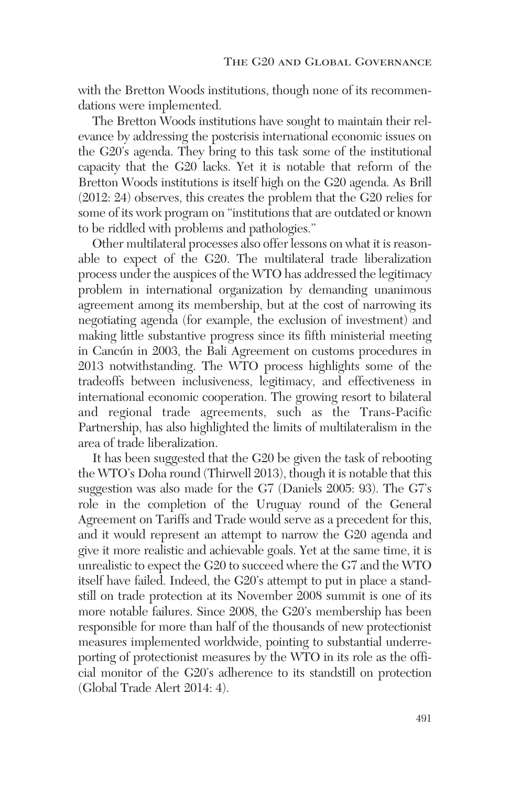with the Bretton Woods institutions, though none of its recommendations were implemented.

The Bretton Woods institutions have sought to maintain their relevance by addressing the postcrisis international economic issues on the G20's agenda. They bring to this task some of the institutional capacity that the G20 lacks. Yet it is notable that reform of the Bretton Woods institutions is itself high on the G20 agenda. As Brill (2012: 24) observes, this creates the problem that the G20 relies for some of its work program on "institutions that are outdated or known to be riddled with problems and pathologies."

Other multilateral processes also offer lessons on what it is reasonable to expect of the G20. The multilateral trade liberalization process under the auspices of the WTO has addressed the legitimacy problem in international organization by demanding unanimous agreement among its membership, but at the cost of narrowing its negotiating agenda (for example, the exclusion of investment) and making little substantive progress since its fifth ministerial meeting in Cancún in 2003, the Bali Agreement on customs procedures in 2013 notwithstanding. The WTO process highlights some of the tradeoffs between inclusiveness, legitimacy, and effectiveness in international economic cooperation. The growing resort to bilateral and regional trade agreements, such as the Trans-Pacific Partnership, has also highlighted the limits of multilateralism in the area of trade liberalization.

It has been suggested that the G20 be given the task of rebooting the WTO's Doha round (Thirwell 2013), though it is notable that this suggestion was also made for the G7 (Daniels 2005: 93). The G7's role in the completion of the Uruguay round of the General Agreement on Tariffs and Trade would serve as a precedent for this, and it would represent an attempt to narrow the G20 agenda and give it more realistic and achievable goals. Yet at the same time, it is unrealistic to expect the G20 to succeed where the G7 and the WTO itself have failed. Indeed, the G20's attempt to put in place a standstill on trade protection at its November 2008 summit is one of its more notable failures. Since 2008, the G20's membership has been responsible for more than half of the thousands of new protectionist measures implemented worldwide, pointing to substantial underreporting of protectionist measures by the WTO in its role as the official monitor of the G20's adherence to its standstill on protection (Global Trade Alert 2014: 4).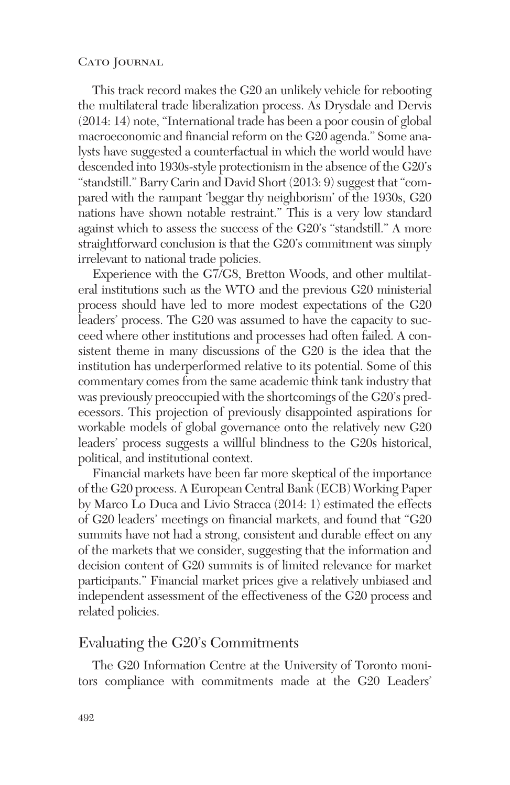This track record makes the G20 an unlikely vehicle for rebooting the multilateral trade liberalization process. As Drysdale and Dervis (2014: 14) note, "International trade has been a poor cousin of global macroeconomic and financial reform on the G20 agenda." Some analysts have suggested a counterfactual in which the world would have descended into 1930s-style protectionism in the absence of the G20's "standstill." Barry Carin and David Short (2013: 9) suggest that "compared with the rampant 'beggar thy neighborism' of the 1930s, G20 nations have shown notable restraint." This is a very low standard against which to assess the success of the G20's "standstill." A more straightforward conclusion is that the G20's commitment was simply irrelevant to national trade policies.

Experience with the G7/G8, Bretton Woods, and other multilateral institutions such as the WTO and the previous G20 ministerial process should have led to more modest expectations of the G20 leaders' process. The G20 was assumed to have the capacity to succeed where other institutions and processes had often failed. A consistent theme in many discussions of the G20 is the idea that the institution has underperformed relative to its potential. Some of this commentary comes from the same academic think tank industry that was previously preoccupied with the shortcomings of the G20's predecessors. This projection of previously disappointed aspirations for workable models of global governance onto the relatively new G20 leaders' process suggests a willful blindness to the G20s historical, political, and institutional context.

Financial markets have been far more skeptical of the importance of the G20 process. A European Central Bank (ECB) Working Paper by Marco Lo Duca and Livio Stracca (2014: 1) estimated the effects of G20 leaders' meetings on financial markets, and found that "G20 summits have not had a strong, consistent and durable effect on any of the markets that we consider, suggesting that the information and decision content of G20 summits is of limited relevance for market participants." Financial market prices give a relatively unbiased and independent assessment of the effectiveness of the G20 process and related policies.

## Evaluating the G20's Commitments

The G20 Information Centre at the University of Toronto monitors compliance with commitments made at the G20 Leaders'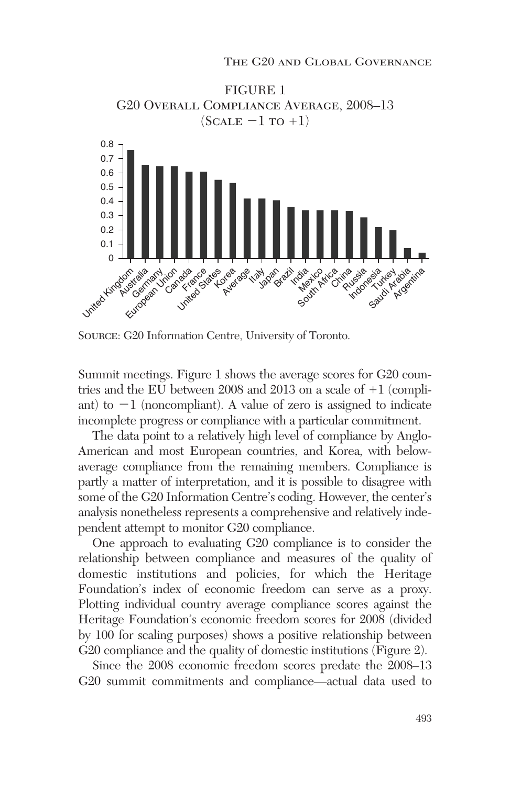

Source: G20 Information Centre, University of Toronto.

Summit meetings. Figure 1 shows the average scores for G20 countries and the EU between 2008 and 2013 on a scale of  $+1$  (compliant) to  $-1$  (noncompliant). A value of zero is assigned to indicate incomplete progress or compliance with a particular commitment.

The data point to a relatively high level of compliance by Anglo-American and most European countries, and Korea, with belowaverage compliance from the remaining members. Compliance is partly a matter of interpretation, and it is possible to disagree with some of the G20 Information Centre's coding. However, the center's analysis nonetheless represents a comprehensive and relatively independent attempt to monitor G20 compliance.

One approach to evaluating G20 compliance is to consider the relationship between compliance and measures of the quality of domestic institutions and policies, for which the Heritage Foundation's index of economic freedom can serve as a proxy. Plotting individual country average compliance scores against the Heritage Foundation's economic freedom scores for 2008 (divided by 100 for scaling purposes) shows a positive relationship between G20 compliance and the quality of domestic institutions (Figure 2).

Since the 2008 economic freedom scores predate the 2008–13 G20 summit commitments and compliance—actual data used to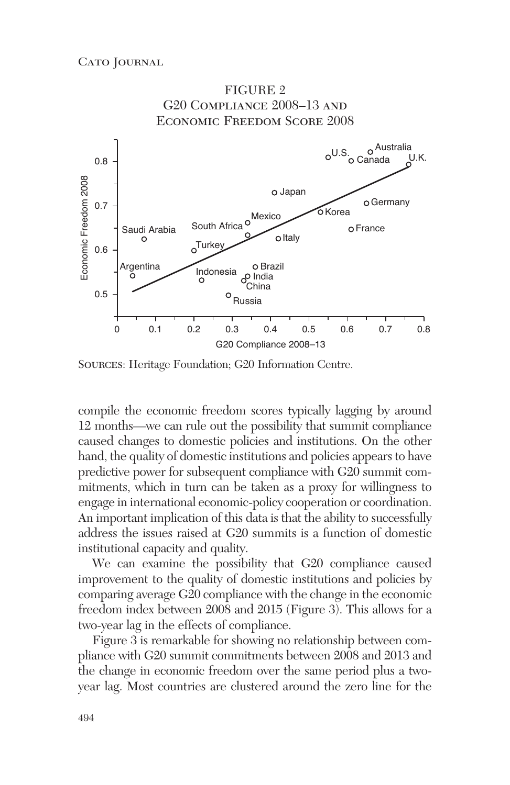

Sources: Heritage Foundation; G20 Information Centre.

compile the economic freedom scores typically lagging by around 12 months—we can rule out the possibility that summit compliance caused changes to domestic policies and institutions. On the other hand, the quality of domestic institutions and policies appears to have predictive power for subsequent compliance with G20 summit commitments, which in turn can be taken as a proxy for willingness to engage in international economic-policy cooperation or coordination. An important implication of this data is that the ability to successfully address the issues raised at G20 summits is a function of domestic institutional capacity and quality.

We can examine the possibility that G20 compliance caused improvement to the quality of domestic institutions and policies by comparing average G20 compliance with the change in the economic freedom index between 2008 and 2015 (Figure 3). This allows for a two-year lag in the effects of compliance.

Figure 3 is remarkable for showing no relationship between compliance with G20 summit commitments between 2008 and 2013 and the change in economic freedom over the same period plus a twoyear lag. Most countries are clustered around the zero line for the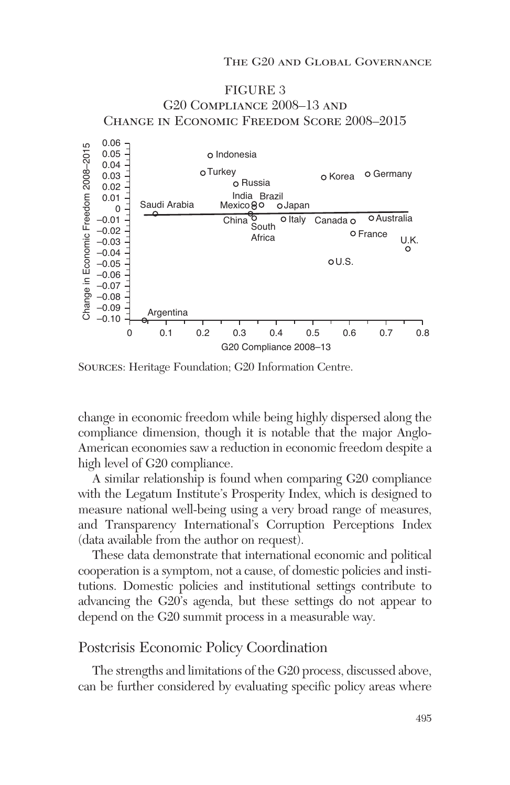

## $-0.10$ G20 Compliance 2008–13 0 0.1 0.2 0.3 0.4 0.5 0.6 0.7 0.8

Sources: Heritage Foundation; G20 Information Centre.

Argentina

change in economic freedom while being highly dispersed along the compliance dimension, though it is notable that the major Anglo-American economies saw a reduction in economic freedom despite a high level of G20 compliance.

A similar relationship is found when comparing G20 compliance with the Legatum Institute's Prosperity Index, which is designed to measure national well-being using a very broad range of measures, and Transparency International's Corruption Perceptions Index (data available from the author on request).

These data demonstrate that international economic and political cooperation is a symptom, not a cause, of domestic policies and institutions. Domestic policies and institutional settings contribute to advancing the G20's agenda, but these settings do not appear to depend on the G20 summit process in a measurable way.

### Postcrisis Economic Policy Coordination

The strengths and limitations of the G20 process, discussed above, can be further considered by evaluating specific policy areas where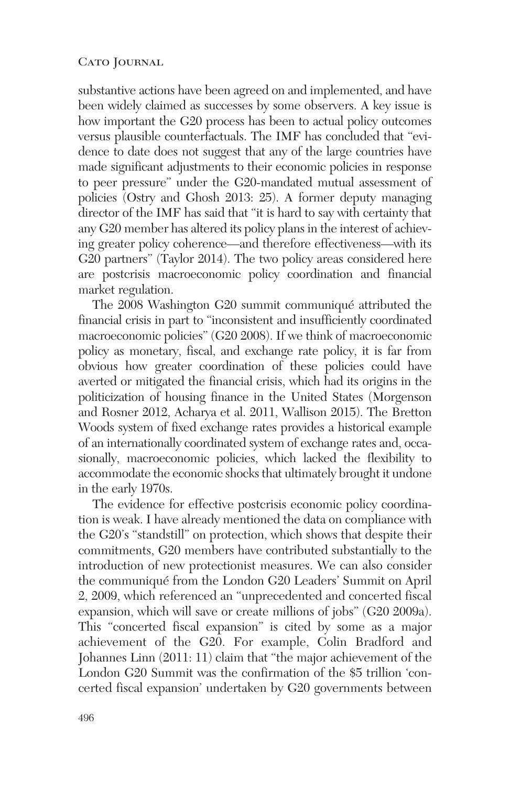substantive actions have been agreed on and implemented, and have been widely claimed as successes by some observers. A key issue is how important the G20 process has been to actual policy outcomes versus plausible counterfactuals. The IMF has concluded that "evidence to date does not suggest that any of the large countries have made significant adjustments to their economic policies in response to peer pressure" under the G20-mandated mutual assessment of policies (Ostry and Ghosh 2013: 25). A former deputy managing director of the IMF has said that "it is hard to say with certainty that any G20 member has altered its policy plans in the interest of achieving greater policy coherence—and therefore effectiveness—with its G20 partners" (Taylor 2014). The two policy areas considered here are postcrisis macroeconomic policy coordination and financial market regulation.

The 2008 Washington G20 summit communiqué attributed the financial crisis in part to "inconsistent and insufficiently coordinated macroeconomic policies" (G20 2008). If we think of macroeconomic policy as monetary, fiscal, and exchange rate policy, it is far from obvious how greater coordination of these policies could have averted or mitigated the financial crisis, which had its origins in the politicization of housing finance in the United States (Morgenson and Rosner 2012, Acharya et al. 2011, Wallison 2015). The Bretton Woods system of fixed exchange rates provides a historical example of an internationally coordinated system of exchange rates and, occasionally, macroeconomic policies, which lacked the flexibility to accommodate the economic shocks that ultimately brought it undone in the early 1970s.

The evidence for effective postcrisis economic policy coordination is weak. I have already mentioned the data on compliance with the G20's "standstill" on protection, which shows that despite their commitments, G20 members have contributed substantially to the introduction of new protectionist measures. We can also consider the communiqué from the London G20 Leaders' Summit on April 2, 2009, which referenced an "unprecedented and concerted fiscal expansion, which will save or create millions of jobs" (G20 2009a). This "concerted fiscal expansion" is cited by some as a major achievement of the G20. For example, Colin Bradford and Johannes Linn (2011: 11) claim that "the major achievement of the London G20 Summit was the confirmation of the \$5 trillion 'concerted fiscal expansion' undertaken by G20 governments between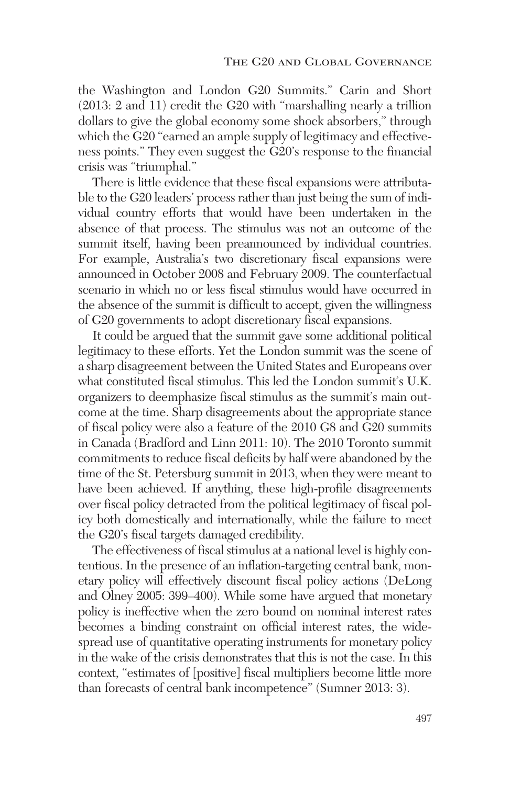the Washington and London G20 Summits." Carin and Short (2013: 2 and 11) credit the G20 with "marshalling nearly a trillion dollars to give the global economy some shock absorbers," through which the G20 "earned an ample supply of legitimacy and effectiveness points." They even suggest the G20's response to the financial crisis was "triumphal."

There is little evidence that these fiscal expansions were attributable to the G20 leaders' process rather than just being the sum of individual country efforts that would have been undertaken in the absence of that process. The stimulus was not an outcome of the summit itself, having been preannounced by individual countries. For example, Australia's two discretionary fiscal expansions were announced in October 2008 and February 2009. The counterfactual scenario in which no or less fiscal stimulus would have occurred in the absence of the summit is difficult to accept, given the willingness of G20 governments to adopt discretionary fiscal expansions.

It could be argued that the summit gave some additional political legitimacy to these efforts. Yet the London summit was the scene of a sharp disagreement between the United States and Europeans over what constituted fiscal stimulus. This led the London summit's U.K. organizers to deemphasize fiscal stimulus as the summit's main outcome at the time. Sharp disagreements about the appropriate stance of fiscal policy were also a feature of the 2010 G8 and G20 summits in Canada (Bradford and Linn 2011: 10). The 2010 Toronto summit commitments to reduce fiscal deficits by half were abandoned by the time of the St. Petersburg summit in 2013, when they were meant to have been achieved. If anything, these high-profile disagreements over fiscal policy detracted from the political legitimacy of fiscal policy both domestically and internationally, while the failure to meet the G20's fiscal targets damaged credibility.

The effectiveness of fiscal stimulus at a national level is highly contentious. In the presence of an inflation-targeting central bank, monetary policy will effectively discount fiscal policy actions (DeLong and Olney 2005: 399–400). While some have argued that monetary policy is ineffective when the zero bound on nominal interest rates becomes a binding constraint on official interest rates, the widespread use of quantitative operating instruments for monetary policy in the wake of the crisis demonstrates that this is not the case. In this context, "estimates of [positive] fiscal multipliers become little more than forecasts of central bank incompetence" (Sumner 2013: 3).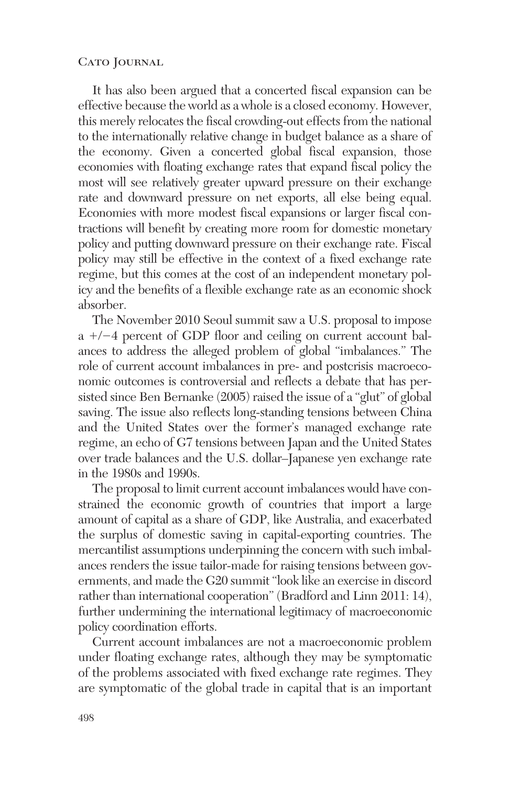It has also been argued that a concerted fiscal expansion can be effective because the world as a whole is a closed economy. However, this merely relocates the fiscal crowding-out effects from the national to the internationally relative change in budget balance as a share of the economy. Given a concerted global fiscal expansion, those economies with floating exchange rates that expand fiscal policy the most will see relatively greater upward pressure on their exchange rate and downward pressure on net exports, all else being equal. Economies with more modest fiscal expansions or larger fiscal contractions will benefit by creating more room for domestic monetary policy and putting downward pressure on their exchange rate. Fiscal policy may still be effective in the context of a fixed exchange rate regime, but this comes at the cost of an independent monetary policy and the benefits of a flexible exchange rate as an economic shock absorber.

The November 2010 Seoul summit saw a U.S. proposal to impose  $a +/-4$  percent of GDP floor and ceiling on current account balances to address the alleged problem of global "imbalances." The role of current account imbalances in pre- and postcrisis macroeconomic outcomes is controversial and reflects a debate that has persisted since Ben Bernanke (2005) raised the issue of a "glut" of global saving. The issue also reflects long-standing tensions between China and the United States over the former's managed exchange rate regime, an echo of G7 tensions between Japan and the United States over trade balances and the U.S. dollar–Japanese yen exchange rate in the 1980s and 1990s.

The proposal to limit current account imbalances would have constrained the economic growth of countries that import a large amount of capital as a share of GDP, like Australia, and exacerbated the surplus of domestic saving in capital-exporting countries. The mercantilist assumptions underpinning the concern with such imbalances renders the issue tailor-made for raising tensions between governments, and made the G20 summit "look like an exercise in discord rather than international cooperation" (Bradford and Linn 2011: 14), further undermining the international legitimacy of macroeconomic policy coordination efforts.

Current account imbalances are not a macroeconomic problem under floating exchange rates, although they may be symptomatic of the problems associated with fixed exchange rate regimes. They are symptomatic of the global trade in capital that is an important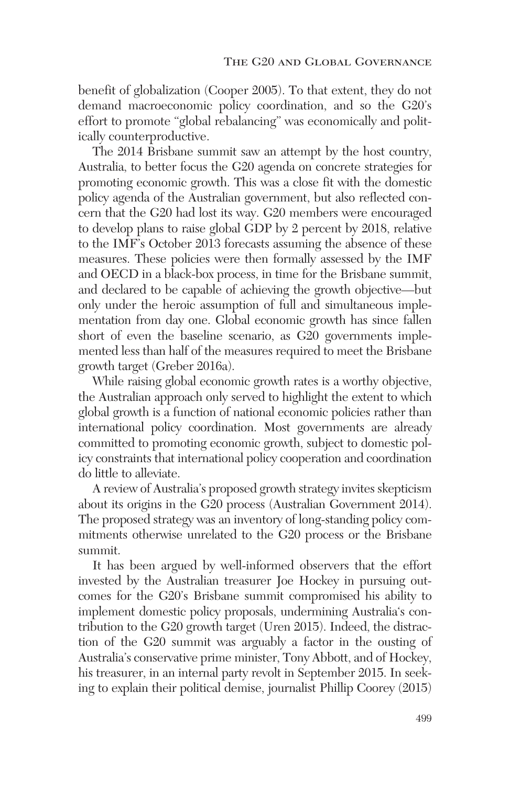benefit of globalization (Cooper 2005). To that extent, they do not demand macroeconomic policy coordination, and so the G20's effort to promote "global rebalancing" was economically and politically counterproductive.

The 2014 Brisbane summit saw an attempt by the host country, Australia, to better focus the G20 agenda on concrete strategies for promoting economic growth. This was a close fit with the domestic policy agenda of the Australian government, but also reflected concern that the G20 had lost its way. G20 members were encouraged to develop plans to raise global GDP by 2 percent by 2018, relative to the IMF's October 2013 forecasts assuming the absence of these measures. These policies were then formally assessed by the IMF and OECD in a black-box process, in time for the Brisbane summit, and declared to be capable of achieving the growth objective—but only under the heroic assumption of full and simultaneous implementation from day one. Global economic growth has since fallen short of even the baseline scenario, as G20 governments implemented less than half of the measures required to meet the Brisbane growth target (Greber 2016a).

While raising global economic growth rates is a worthy objective, the Australian approach only served to highlight the extent to which global growth is a function of national economic policies rather than international policy coordination. Most governments are already committed to promoting economic growth, subject to domestic policy constraints that international policy cooperation and coordination do little to alleviate.

A review of Australia's proposed growth strategy invites skepticism about its origins in the G20 process (Australian Government 2014). The proposed strategy was an inventory of long-standing policy commitments otherwise unrelated to the G20 process or the Brisbane summit.

It has been argued by well-informed observers that the effort invested by the Australian treasurer Joe Hockey in pursuing outcomes for the G20's Brisbane summit compromised his ability to implement domestic policy proposals, undermining Australia's contribution to the G20 growth target (Uren 2015). Indeed, the distraction of the G20 summit was arguably a factor in the ousting of Australia's conservative prime minister, Tony Abbott, and of Hockey, his treasurer, in an internal party revolt in September 2015. In seeking to explain their political demise, journalist Phillip Coorey (2015)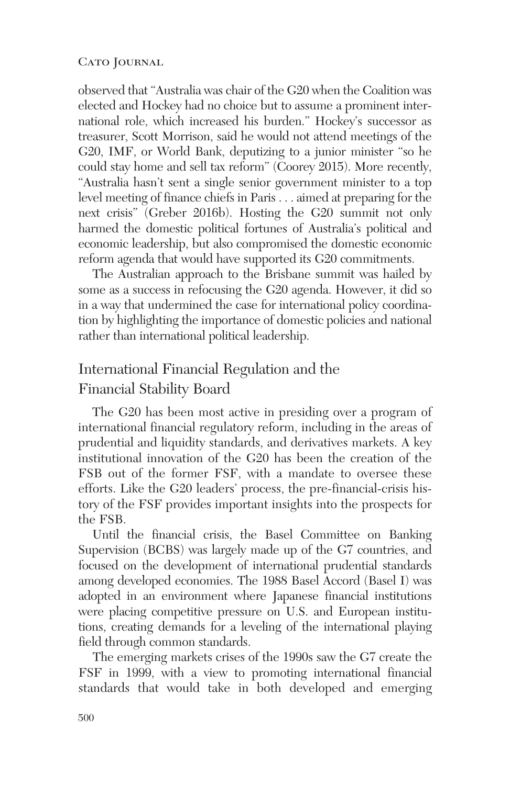observed that "Australia was chair of the G20 when the Coalition was elected and Hockey had no choice but to assume a prominent international role, which increased his burden." Hockey's successor as treasurer, Scott Morrison, said he would not attend meetings of the G20, IMF, or World Bank, deputizing to a junior minister "so he could stay home and sell tax reform" (Coorey 2015). More recently, "Australia hasn't sent a single senior government minister to a top level meeting of finance chiefs in Paris . . . aimed at preparing for the next crisis" (Greber 2016b). Hosting the G20 summit not only harmed the domestic political fortunes of Australia's political and economic leadership, but also compromised the domestic economic reform agenda that would have supported its G20 commitments.

The Australian approach to the Brisbane summit was hailed by some as a success in refocusing the G20 agenda. However, it did so in a way that undermined the case for international policy coordination by highlighting the importance of domestic policies and national rather than international political leadership.

## International Financial Regulation and the Financial Stability Board

The G20 has been most active in presiding over a program of international financial regulatory reform, including in the areas of prudential and liquidity standards, and derivatives markets. A key institutional innovation of the G20 has been the creation of the FSB out of the former FSF, with a mandate to oversee these efforts. Like the G20 leaders' process, the pre-financial-crisis history of the FSF provides important insights into the prospects for the FSB.

Until the financial crisis, the Basel Committee on Banking Supervision (BCBS) was largely made up of the G7 countries, and focused on the development of international prudential standards among developed economies. The 1988 Basel Accord (Basel I) was adopted in an environment where Japanese financial institutions were placing competitive pressure on U.S. and European institutions, creating demands for a leveling of the international playing field through common standards.

The emerging markets crises of the 1990s saw the G7 create the FSF in 1999, with a view to promoting international financial standards that would take in both developed and emerging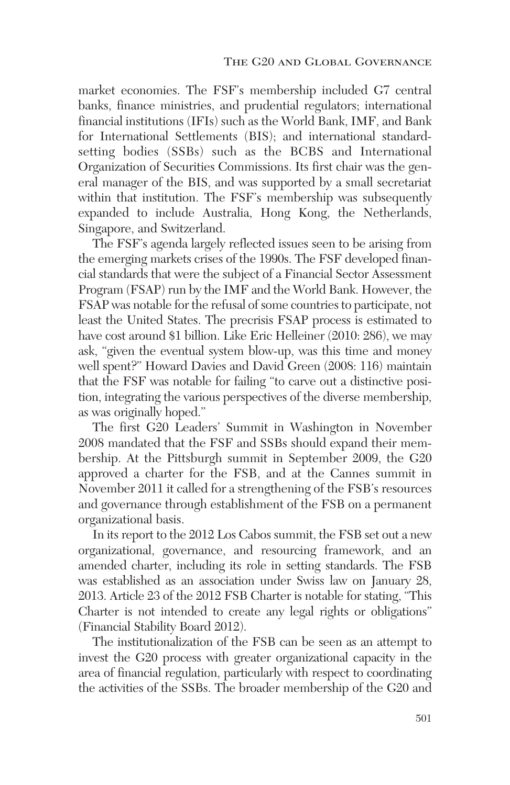market economies. The FSF's membership included G7 central banks, finance ministries, and prudential regulators; international financial institutions (IFIs) such as the World Bank, IMF, and Bank for International Settlements (BIS); and international standardsetting bodies (SSBs) such as the BCBS and International Organization of Securities Commissions. Its first chair was the general manager of the BIS, and was supported by a small secretariat within that institution. The FSF's membership was subsequently expanded to include Australia, Hong Kong, the Netherlands, Singapore, and Switzerland.

The FSF's agenda largely reflected issues seen to be arising from the emerging markets crises of the 1990s. The FSF developed financial standards that were the subject of a Financial Sector Assessment Program (FSAP) run by the IMF and the World Bank. However, the FSAP was notable for the refusal of some countries to participate, not least the United States. The precrisis FSAP process is estimated to have cost around \$1 billion. Like Eric Helleiner (2010: 286), we may ask, "given the eventual system blow-up, was this time and money well spent?" Howard Davies and David Green (2008: 116) maintain that the FSF was notable for failing "to carve out a distinctive position, integrating the various perspectives of the diverse membership, as was originally hoped."

The first G20 Leaders' Summit in Washington in November 2008 mandated that the FSF and SSBs should expand their membership. At the Pittsburgh summit in September 2009, the G20 approved a charter for the FSB, and at the Cannes summit in November 2011 it called for a strengthening of the FSB's resources and governance through establishment of the FSB on a permanent organizational basis.

In its report to the 2012 Los Cabos summit, the FSB set out a new organizational, governance, and resourcing framework, and an amended charter, including its role in setting standards. The FSB was established as an association under Swiss law on January 28, 2013. Article 23 of the 2012 FSB Charter is notable for stating, "This Charter is not intended to create any legal rights or obligations" (Financial Stability Board 2012).

The institutionalization of the FSB can be seen as an attempt to invest the G20 process with greater organizational capacity in the area of financial regulation, particularly with respect to coordinating the activities of the SSBs. The broader membership of the G20 and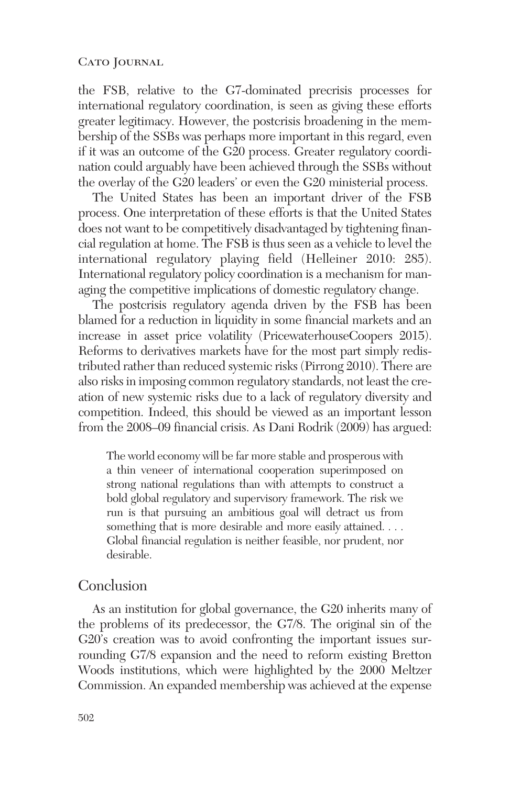the FSB, relative to the G7-dominated precrisis processes for international regulatory coordination, is seen as giving these efforts greater legitimacy. However, the postcrisis broadening in the membership of the SSBs was perhaps more important in this regard, even if it was an outcome of the G20 process. Greater regulatory coordination could arguably have been achieved through the SSBs without the overlay of the G20 leaders' or even the G20 ministerial process.

The United States has been an important driver of the FSB process. One interpretation of these efforts is that the United States does not want to be competitively disadvantaged by tightening financial regulation at home. The FSB is thus seen as a vehicle to level the international regulatory playing field (Helleiner 2010: 285). International regulatory policy coordination is a mechanism for managing the competitive implications of domestic regulatory change.

The postcrisis regulatory agenda driven by the FSB has been blamed for a reduction in liquidity in some financial markets and an increase in asset price volatility (PricewaterhouseCoopers 2015). Reforms to derivatives markets have for the most part simply redistributed rather than reduced systemic risks (Pirrong 2010). There are also risks in imposing common regulatory standards, not least the creation of new systemic risks due to a lack of regulatory diversity and competition. Indeed, this should be viewed as an important lesson from the 2008–09 financial crisis. As Dani Rodrik (2009) has argued:

The world economy will be far more stable and prosperous with a thin veneer of international cooperation superimposed on strong national regulations than with attempts to construct a bold global regulatory and supervisory framework. The risk we run is that pursuing an ambitious goal will detract us from something that is more desirable and more easily attained. . . . Global financial regulation is neither feasible, nor prudent, nor desirable.

### Conclusion

As an institution for global governance, the G20 inherits many of the problems of its predecessor, the G7/8. The original sin of the G20's creation was to avoid confronting the important issues surrounding G7/8 expansion and the need to reform existing Bretton Woods institutions, which were highlighted by the 2000 Meltzer Commission. An expanded membership was achieved at the expense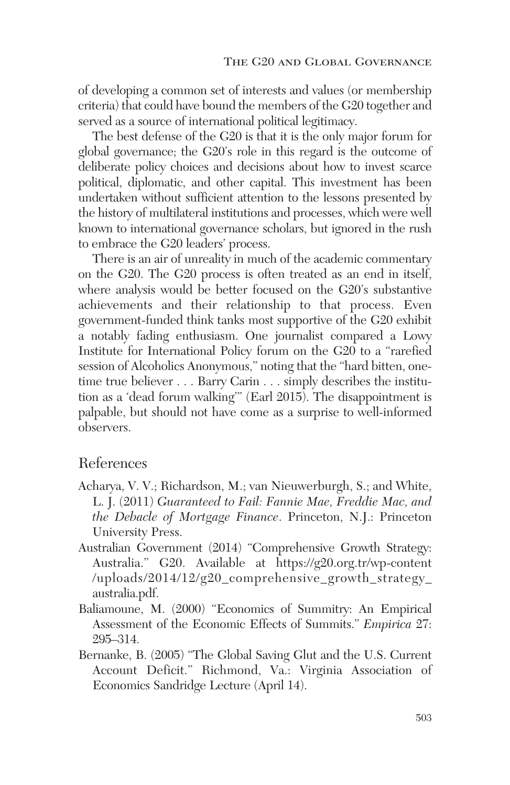of developing a common set of interests and values (or membership criteria) that could have bound the members of the G20 together and served as a source of international political legitimacy.

The best defense of the G20 is that it is the only major forum for global governance; the G20's role in this regard is the outcome of deliberate policy choices and decisions about how to invest scarce political, diplomatic, and other capital. This investment has been undertaken without sufficient attention to the lessons presented by the history of multilateral institutions and processes, which were well known to international governance scholars, but ignored in the rush to embrace the G20 leaders' process.

There is an air of unreality in much of the academic commentary on the G20. The G20 process is often treated as an end in itself, where analysis would be better focused on the G20's substantive achievements and their relationship to that process. Even government-funded think tanks most supportive of the G20 exhibit a notably fading enthusiasm. One journalist compared a Lowy Institute for International Policy forum on the G20 to a "rarefied session of Alcoholics Anonymous," noting that the "hard bitten, onetime true believer . . . Barry Carin . . . simply describes the institution as a 'dead forum walking'" (Earl 2015). The disappointment is palpable, but should not have come as a surprise to well-informed observers.

## References

- Acharya, V. V.; Richardson, M.; van Nieuwerburgh, S.; and White, L. J. (2011) *Guaranteed to Fail: Fannie Mae, Freddie Mac, and the Debacle of Mortgage Finance*. Princeton, N.J.: Princeton University Press.
- Australian Government (2014) "Comprehensive Growth Strategy: Australia." G20. Available at https://g20.org.tr/wp-content /uploads/2014/12/g20\_comprehensive\_growth\_strategy\_ australia.pdf.
- Baliamoune, M. (2000) "Economics of Summitry: An Empirical Assessment of the Economic Effects of Summits." *Empirica* 27: 295–314.
- Bernanke, B. (2005) "The Global Saving Glut and the U.S. Current Account Deficit." Richmond, Va.: Virginia Association of Economics Sandridge Lecture (April 14).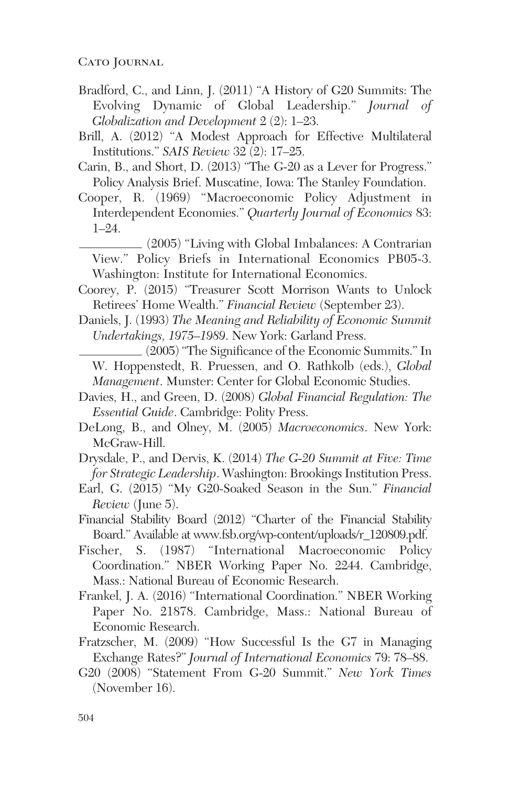- Bradford, C., and Linn, J. (2011) "A History of G20 Summits: The Evolving Dynamic of Global Leadership." *Journal of Globalization and Development* 2 (2): 1–23.
- Brill, A. (2012) "A Modest Approach for Effective Multilateral Institutions." *SAIS Review* 32 (2): 17–25.
- Carin, B., and Short, D. (2013) "The G-20 as a Lever for Progress." Policy Analysis Brief. Muscatine, Iowa: The Stanley Foundation.
- Cooper, R. (1969) "Macroeconomic Policy Adjustment in Interdependent Economies." *Quarterly Journal of Economics* 83: 1–24.

(2005) "Living with Global Imbalances: A Contrarian View." Policy Briefs in International Economics PB05-3. Washington: Institute for International Economics.

- Coorey, P. (2015) "Treasurer Scott Morrison Wants to Unlock Retirees' Home Wealth." *Financial Review* (September 23).
- Daniels, J. (1993) *The Meaning and Reliability of Economic Summit Undertakings, 1975–1989*. New York: Garland Press.

(2005) "The Significance of the Economic Summits." In W. Hoppenstedt, R. Pruessen, and O. Rathkolb (eds.), *Global Management*. Munster: Center for Global Economic Studies.

- Davies, H., and Green, D. (2008) *Global Financial Regulation: The Essential Guide*. Cambridge: Polity Press.
- DeLong, B., and Olney, M. (2005) *Macroeconomics*. New York: McGraw-Hill.
- Drysdale, P., and Dervis, K. (2014) *The G-20 Summit at Five: Time for Strategic Leadership*. Washington: Brookings Institution Press.
- Earl, G. (2015) "My G20-Soaked Season in the Sun." *Financial Review* (June 5).
- Financial Stability Board (2012) "Charter of the Financial Stability Board." Available at www.fsb.org/wp-content/uploads/r\_120809.pdf.

Fischer, S. (1987) "International Macroeconomic Policy Coordination." NBER Working Paper No. 2244. Cambridge, Mass.: National Bureau of Economic Research.

- Frankel, J. A. (2016) "International Coordination." NBER Working Paper No. 21878. Cambridge, Mass.: National Bureau of Economic Research.
- Fratzscher, M. (2009) "How Successful Is the G7 in Managing Exchange Rates?" *Journal of International Economics* 79: 78–88.
- G20 (2008) "Statement From G-20 Summit." *New York Times* (November 16).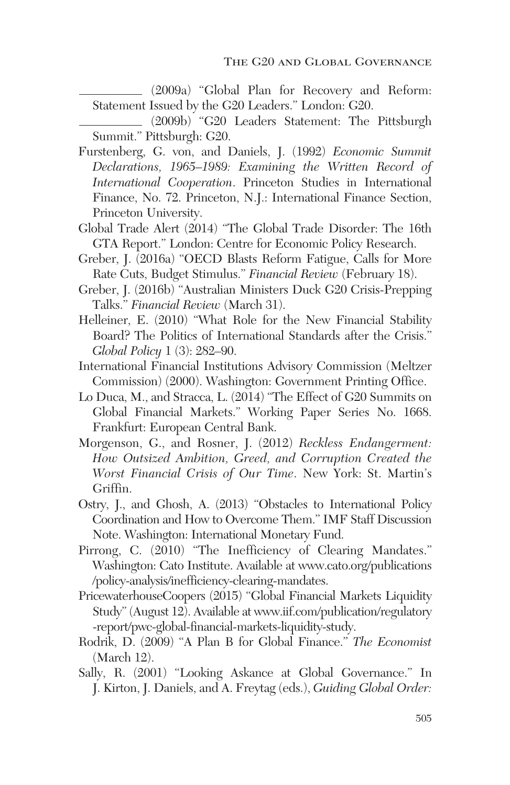(2009a) "Global Plan for Recovery and Reform: Statement Issued by the G20 Leaders." London: G20.

(2009b) "G20 Leaders Statement: The Pittsburgh Summit." Pittsburgh: G20.

- Furstenberg, G. von, and Daniels, J. (1992) *Economic Summit Declarations, 1965–1989: Examining the Written Record of International Cooperation*. Princeton Studies in International Finance, No. 72. Princeton, N.J.: International Finance Section, Princeton University.
- Global Trade Alert (2014) "The Global Trade Disorder: The 16th GTA Report." London: Centre for Economic Policy Research.
- Greber, J. (2016a) "OECD Blasts Reform Fatigue, Calls for More Rate Cuts, Budget Stimulus." *Financial Review* (February 18).
- Greber, J. (2016b) "Australian Ministers Duck G20 Crisis-Prepping Talks." *Financial Review* (March 31).
- Helleiner, E. (2010) "What Role for the New Financial Stability Board? The Politics of International Standards after the Crisis." *Global Policy* 1 (3): 282–90.
- International Financial Institutions Advisory Commission (Meltzer Commission) (2000). Washington: Government Printing Office.
- Lo Duca, M., and Stracca, L. (2014) "The Effect of G20 Summits on Global Financial Markets." Working Paper Series No. 1668. Frankfurt: European Central Bank.
- Morgenson, G., and Rosner, J. (2012) *Reckless Endangerment: How Outsized Ambition, Greed, and Corruption Created the Worst Financial Crisis of Our Time*. New York: St. Martin's Griffin.
- Ostry, J., and Ghosh, A. (2013) "Obstacles to International Policy Coordination and How to Overcome Them." IMF Staff Discussion Note. Washington: International Monetary Fund.
- Pirrong, C. (2010) "The Inefficiency of Clearing Mandates." Washington: Cato Institute. Available at www.cato.org/publications /policy-analysis/inefficiency-clearing-mandates.
- PricewaterhouseCoopers (2015) "Global Financial Markets Liquidity Study" (August 12). Available at www.iif.com/publication/regulatory -report/pwc-global-financial-markets-liquidity-study.
- Rodrik, D. (2009) "A Plan B for Global Finance." *The Economist* (March 12).
- Sally, R. (2001) "Looking Askance at Global Governance." In J. Kirton, J. Daniels, and A. Freytag (eds.), *Guiding Global Order:*